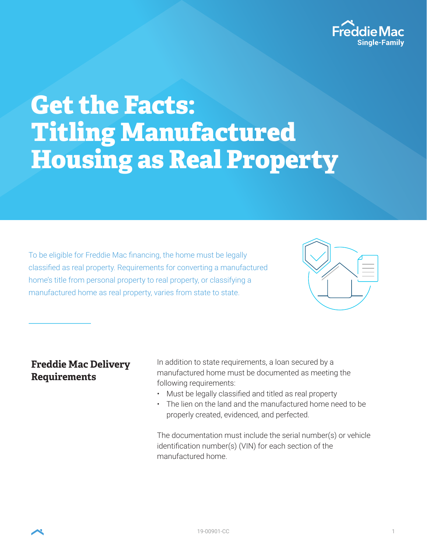

# Get the Facts: Titling Manufactured Housing as Real Property

To be eligible for Freddie Mac financing, the home must be legally classified as real property. Requirements for converting a manufactured home's title from personal property to real property, or classifying a manufactured home as real property, varies from state to state.



# **Freddie Mac Delivery Requirements**

In addition to state requirements, a loan secured by a manufactured home must be documented as meeting the following requirements:

- Must be legally classified and titled as real property
- The lien on the land and the manufactured home need to be properly created, evidenced, and perfected.

The documentation must include the serial number(s) or vehicle identification number(s) (VIN) for each section of the manufactured home.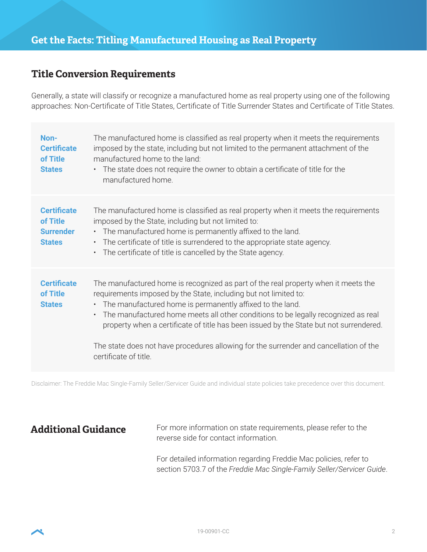## **Title Conversion Requirements**

Generally, a state will classify or recognize a manufactured home as real property using one of the following approaches: Non-Certificate of Title States, Certificate of Title Surrender States and Certificate of Title States.

| Non-<br><b>Certificate</b><br>of Title<br><b>States</b>             | The manufactured home is classified as real property when it meets the requirements<br>imposed by the state, including but not limited to the permanent attachment of the<br>manufactured home to the land:<br>The state does not require the owner to obtain a certificate of title for the<br>$\bullet$<br>manufactured home.                                                                                                                                                                                                                |
|---------------------------------------------------------------------|------------------------------------------------------------------------------------------------------------------------------------------------------------------------------------------------------------------------------------------------------------------------------------------------------------------------------------------------------------------------------------------------------------------------------------------------------------------------------------------------------------------------------------------------|
| <b>Certificate</b><br>of Title<br><b>Surrender</b><br><b>States</b> | The manufactured home is classified as real property when it meets the requirements<br>imposed by the State, including but not limited to:<br>• The manufactured home is permanently affixed to the land.<br>The certificate of title is surrendered to the appropriate state agency.<br>$\bullet$ .<br>The certificate of title is cancelled by the State agency.<br>$\bullet$                                                                                                                                                                |
| <b>Certificate</b><br>of Title<br><b>States</b>                     | The manufactured home is recognized as part of the real property when it meets the<br>requirements imposed by the State, including but not limited to:<br>The manufactured home is permanently affixed to the land.<br>$\bullet$<br>The manufactured home meets all other conditions to be legally recognized as real<br>$\bullet$<br>property when a certificate of title has been issued by the State but not surrendered.<br>The state does not have procedures allowing for the surrender and cancellation of the<br>certificate of title. |

Disclaimer: The Freddie Mac Single-Family Seller/Servicer Guide and individual state policies take precedence over this document.

Additional Guidance For more information on state requirements, please refer to the reverse side for contact information.

> For detailed information regarding Freddie Mac policies, refer to section 5703.7 of the *Freddie Mac Single-Family Seller/Servicer Guide*.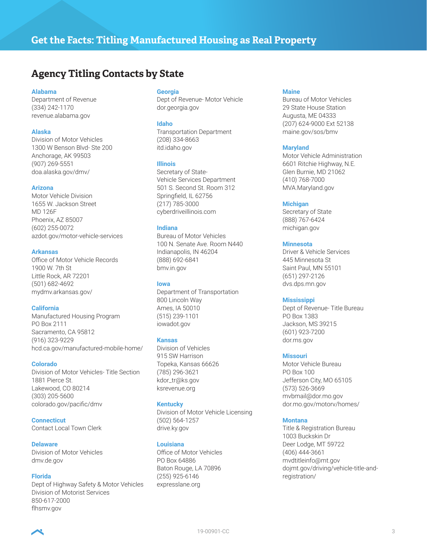# **Agency Titling Contacts by State**

#### **Alabama**

Department of Revenue (334) 242-1170 revenue.alabama.gov

#### **Alaska**

Division of Motor Vehicles 1300 W Benson Blvd- Ste 200 Anchorage, AK 99503 (907) 269-5551 doa.alaska.gov/dmv/

#### **Arizona**

Motor Vehicle Division 1655 W. Jackson Street MD 126F Phoenix, AZ 85007 (602) 255-0072 azdot.gov/motor-vehicle-services

#### **Arkansas**

Office of Motor Vehicle Records 1900 W. 7th St Little Rock, AR 72201 (501) 682-4692 mydmv.arkansas.gov/

#### **California**

Manufactured Housing Program PO Box 2111 Sacramento, CA 95812 (916) 323-9229 hcd.ca.gov/manufactured-mobile-home/

#### **Colorado**

Division of Motor Vehicles- Title Section 1881 Pierce St. Lakewood, CO 80214 (303) 205-5600 colorado.gov/pacific/dmv

**Connecticut** Contact Local Town Clerk

#### **Delaware**

Division of Motor Vehicles dmv.de.gov

#### **Florida**

Dept of Highway Safety & Motor Vehicles Division of Motorist Services 850-617-2000 flhsmv.gov

#### **Georgia**

Dept of Revenue- Motor Vehicle dor.georgia.gov

#### **Idaho**

Transportation Department (208) 334-8663 itd.idaho.gov

#### **Illinois**

Secretary of State-Vehicle Services Department 501 S. Second St. Room 312 Springfield, IL 62756 (217) 785-3000 cyberdriveillinois.com

#### **Indiana**

Bureau of Motor Vehicles 100 N. Senate Ave. Room N440 Indianapolis, IN 46204 (888) 692-6841 bmv.in.gov

#### **Iowa**

Department of Transportation 800 Lincoln Way Ames, IA 50010 (515) 239-1101 iowadot.gov

#### **Kansas**

Division of Vehicles 915 SW Harrison Topeka, Kansas 66626 (785) 296-3621 kdor\_tr@ks.gov ksrevenue.org

#### **Kentucky**

Division of Motor Vehicle Licensing (502) 564-1257 drive.ky.gov

#### **Louisiana**

Office of Motor Vehicles PO Box 64886 Baton Rouge, LA 70896 (255) 925-6146 expresslane.org

#### **Maine**

Bureau of Motor Vehicles 29 State House Station Augusta, ME 04333 (207) 624-9000 Ext 52138 maine.gov/sos/bmv

#### **Maryland**

Motor Vehicle Administration 6601 Ritchie Highway, N.E. Glen Burnie, MD 21062 (410) 768-7000 MVA.Maryland.gov

#### **Michigan**

Secretary of State (888) 767-6424 michigan.gov

#### **Minnesota**

Driver & Vehicle Services 445 Minnesota St Saint Paul, MN 55101 (651) 297-2126 dvs.dps.mn.gov

#### **Mississippi**

Dept of Revenue- Title Bureau PO Box 1383 Jackson, MS 39215 (601) 923-7200 dor.ms.gov

#### **Missouri**

Motor Vehicle Bureau PO Box 100 Jefferson City, MO 65105 (573) 526-3669 mvbmail@dor.mo.gov dor.mo.gov/motorv/homes/

#### **Montana**

Title & Registration Bureau 1003 Buckskin Dr Deer Lodge, MT 59722 (406) 444-3661 mvdtitleinfo@mt.gov dojmt.gov/driving/vehicle-title-andregistration/